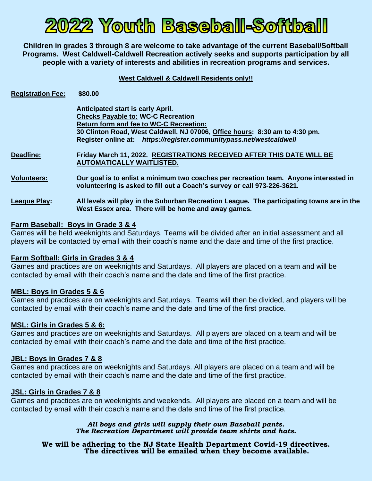# 2022 Youth Baseball-Softball

**Children in grades 3 through 8 are welcome to take advantage of the current Baseball/Softball Programs. West Caldwell-Caldwell Recreation actively seeks and supports participation by all people with a variety of interests and abilities in recreation programs and services.**

**West Caldwell & Caldwell Residents only!!**

| <b>Registration Fee:</b> | \$80.00                                                                                                                                                           |  |  |
|--------------------------|-------------------------------------------------------------------------------------------------------------------------------------------------------------------|--|--|
|                          | Anticipated start is early April.                                                                                                                                 |  |  |
|                          | <b>Checks Payable to: WC-C Recreation</b>                                                                                                                         |  |  |
|                          | <b>Return form and fee to WC-C Recreation:</b>                                                                                                                    |  |  |
|                          | 30 Clinton Road, West Caldwell, NJ 07006, Office hours: 8:30 am to 4:30 pm.                                                                                       |  |  |
|                          | Register online at: https://register.communitypass.net/westcaldwell                                                                                               |  |  |
| <b>Deadline:</b>         | Friday March 11, 2022. REGISTRATIONS RECEIVED AFTER THIS DATE WILL BE<br><b>AUTOMATICALLY WAITLISTED.</b>                                                         |  |  |
| <b>Volunteers:</b>       | Our goal is to enlist a minimum two coaches per recreation team. Anyone interested in<br>volunteering is asked to fill out a Coach's survey or call 973-226-3621. |  |  |
| <b>League Play:</b>      | All levels will play in the Suburban Recreation League. The participating towns are in the<br>West Essex area. There will be home and away games.                 |  |  |

## **Farm Baseball: Boys in Grade 3 & 4**

Games will be held weeknights and Saturdays. Teams will be divided after an initial assessment and all players will be contacted by email with their coach's name and the date and time of the first practice.

### **Farm Softball: Girls in Grades 3 & 4**

Games and practices are on weeknights and Saturdays. All players are placed on a team and will be contacted by email with their coach's name and the date and time of the first practice.

### **MBL: Boys in Grades 5 & 6**

Games and practices are on weeknights and Saturdays. Teams will then be divided, and players will be contacted by email with their coach's name and the date and time of the first practice.

### **MSL: Girls in Grades 5 & 6:**

Games and practices are on weeknights and Saturdays. All players are placed on a team and will be contacted by email with their coach's name and the date and time of the first practice.

### **JBL: Boys in Grades 7 & 8**

Games and practices are on weeknights and Saturdays. All players are placed on a team and will be contacted by email with their coach's name and the date and time of the first practice.

### **JSL: Girls in Grades 7 & 8**

Games and practices are on weeknights and weekends. All players are placed on a team and will be contacted by email with their coach's name and the date and time of the first practice.

> *All boys and girls will supply their own Baseball pants. The Recreation Department will provide team shirts and hats.*

**We will be adhering to the NJ State Health Department Covid-19 directives. The directives will be emailed when they become available.**